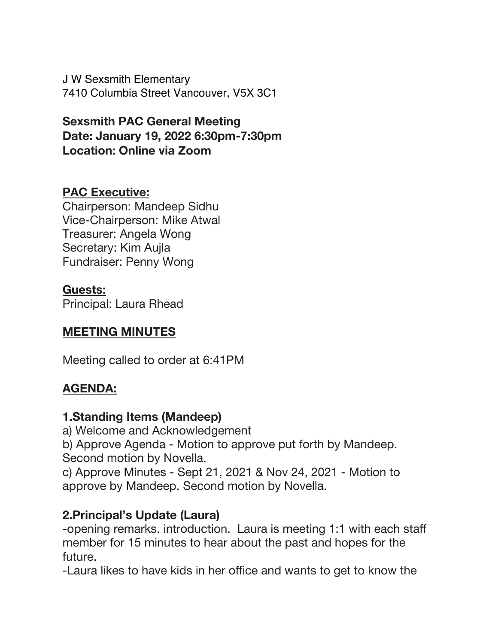J W Sexsmith Elementary 7410 Columbia Street Vancouver, V5X 3C1

**Sexsmith PAC General Meeting Date: January 19, 2022 6:30pm-7:30pm Location: Online via Zoom**

### **PAC Executive:**

Chairperson: Mandeep Sidhu Vice-Chairperson: Mike Atwal Treasurer: Angela Wong Secretary: Kim Aujla Fundraiser: Penny Wong

### **Guests:**

Principal: Laura Rhead

### **MEETING MINUTES**

Meeting called to order at 6:41PM

### **AGENDA:**

### **1.Standing Items (Mandeep)**

a) Welcome and Acknowledgement

b) Approve Agenda - Motion to approve put forth by Mandeep. Second motion by Novella.

c) Approve Minutes - Sept 21, 2021 & Nov 24, 2021 - Motion to approve by Mandeep. Second motion by Novella.

### **2.Principal's Update (Laura)**

-opening remarks. introduction. Laura is meeting 1:1 with each staff member for 15 minutes to hear about the past and hopes for the future.

-Laura likes to have kids in her office and wants to get to know the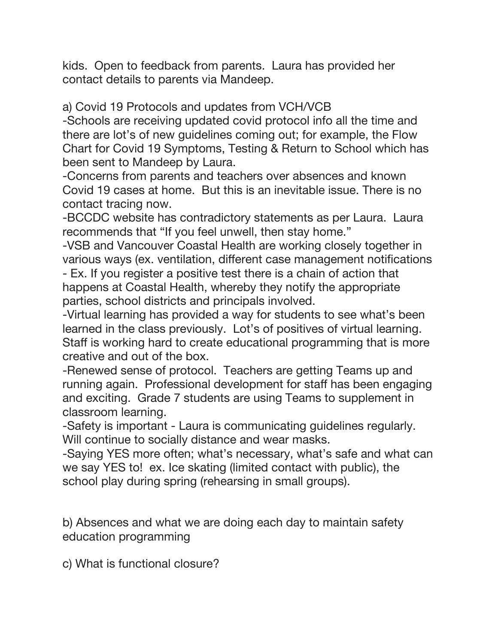kids. Open to feedback from parents. Laura has provided her contact details to parents via Mandeep.

a) Covid 19 Protocols and updates from VCH/VCB

-Schools are receiving updated covid protocol info all the time and there are lot's of new guidelines coming out; for example, the Flow Chart for Covid 19 Symptoms, Testing & Return to School which has been sent to Mandeep by Laura.

-Concerns from parents and teachers over absences and known Covid 19 cases at home. But this is an inevitable issue. There is no contact tracing now.

-BCCDC website has contradictory statements as per Laura. Laura recommends that "If you feel unwell, then stay home."

-VSB and Vancouver Coastal Health are working closely together in various ways (ex. ventilation, different case management notifications

- Ex. If you register a positive test there is a chain of action that happens at Coastal Health, whereby they notify the appropriate parties, school districts and principals involved.

-Virtual learning has provided a way for students to see what's been learned in the class previously. Lot's of positives of virtual learning. Staff is working hard to create educational programming that is more creative and out of the box.

-Renewed sense of protocol. Teachers are getting Teams up and running again. Professional development for staff has been engaging and exciting. Grade 7 students are using Teams to supplement in classroom learning.

-Safety is important - Laura is communicating guidelines regularly. Will continue to socially distance and wear masks.

-Saying YES more often; what's necessary, what's safe and what can we say YES to! ex. Ice skating (limited contact with public), the school play during spring (rehearsing in small groups).

b) Absences and what we are doing each day to maintain safety education programming

c) What is functional closure?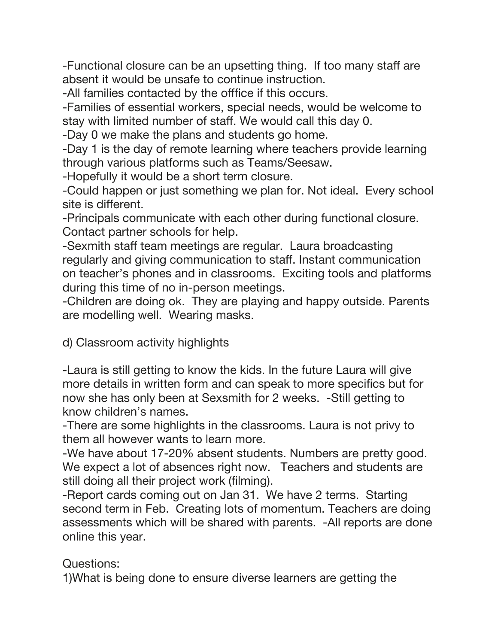-Functional closure can be an upsetting thing. If too many staff are absent it would be unsafe to continue instruction.

-All families contacted by the offfice if this occurs.

-Families of essential workers, special needs, would be welcome to stay with limited number of staff. We would call this day 0.

-Day 0 we make the plans and students go home.

-Day 1 is the day of remote learning where teachers provide learning through various platforms such as Teams/Seesaw.

-Hopefully it would be a short term closure.

-Could happen or just something we plan for. Not ideal. Every school site is different.

-Principals communicate with each other during functional closure. Contact partner schools for help.

-Sexmith staff team meetings are regular. Laura broadcasting regularly and giving communication to staff. Instant communication on teacher's phones and in classrooms. Exciting tools and platforms during this time of no in-person meetings.

-Children are doing ok. They are playing and happy outside. Parents are modelling well. Wearing masks.

d) Classroom activity highlights

-Laura is still getting to know the kids. In the future Laura will give more details in written form and can speak to more specifics but for now she has only been at Sexsmith for 2 weeks. -Still getting to know children's names.

-There are some highlights in the classrooms. Laura is not privy to them all however wants to learn more.

-We have about 17-20% absent students. Numbers are pretty good. We expect a lot of absences right now. Teachers and students are still doing all their project work (filming).

-Report cards coming out on Jan 31. We have 2 terms. Starting second term in Feb. Creating lots of momentum. Teachers are doing assessments which will be shared with parents. -All reports are done online this year.

Questions:

1)What is being done to ensure diverse learners are getting the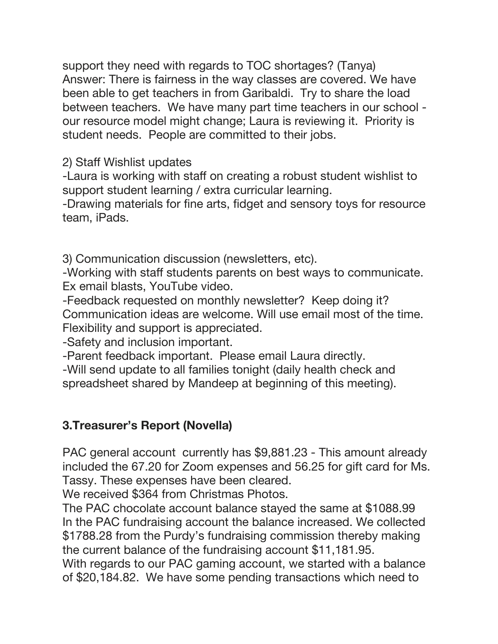support they need with regards to TOC shortages? (Tanya) Answer: There is fairness in the way classes are covered. We have been able to get teachers in from Garibaldi. Try to share the load between teachers. We have many part time teachers in our school our resource model might change; Laura is reviewing it. Priority is student needs. People are committed to their jobs.

2) Staff Wishlist updates

-Laura is working with staff on creating a robust student wishlist to support student learning / extra curricular learning.

-Drawing materials for fine arts, fidget and sensory toys for resource team, iPads.

3) Communication discussion (newsletters, etc).

-Working with staff students parents on best ways to communicate. Ex email blasts, YouTube video.

-Feedback requested on monthly newsletter? Keep doing it? Communication ideas are welcome. Will use email most of the time. Flexibility and support is appreciated.

-Safety and inclusion important.

-Parent feedback important. Please email Laura directly.

-Will send update to all families tonight (daily health check and spreadsheet shared by Mandeep at beginning of this meeting).

# **3.Treasurer's Report (Novella)**

PAC general account currently has \$9,881.23 - This amount already included the 67.20 for Zoom expenses and 56.25 for gift card for Ms. Tassy. These expenses have been cleared.

We received \$364 from Christmas Photos.

The PAC chocolate account balance stayed the same at \$1088.99 In the PAC fundraising account the balance increased. We collected \$1788.28 from the Purdy's fundraising commission thereby making the current balance of the fundraising account \$11,181.95.

With regards to our PAC gaming account, we started with a balance of \$20,184.82. We have some pending transactions which need to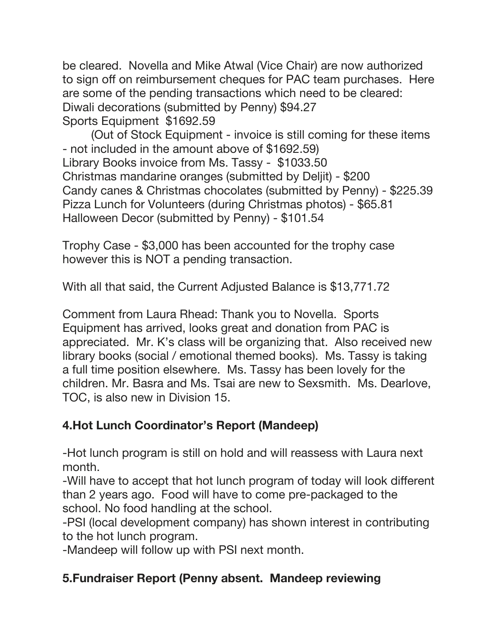be cleared. Novella and Mike Atwal (Vice Chair) are now authorized to sign off on reimbursement cheques for PAC team purchases. Here are some of the pending transactions which need to be cleared: Diwali decorations (submitted by Penny) \$94.27 Sports Equipment \$1692.59

(Out of Stock Equipment - invoice is still coming for these items - not included in the amount above of \$1692.59) Library Books invoice from Ms. Tassy - \$1033.50 Christmas mandarine oranges (submitted by Deljit) - \$200 Candy canes & Christmas chocolates (submitted by Penny) - \$225.39 Pizza Lunch for Volunteers (during Christmas photos) - \$65.81 Halloween Decor (submitted by Penny) - \$101.54

Trophy Case - \$3,000 has been accounted for the trophy case however this is NOT a pending transaction.

With all that said, the Current Adjusted Balance is \$13,771.72

Comment from Laura Rhead: Thank you to Novella. Sports Equipment has arrived, looks great and donation from PAC is appreciated. Mr. K's class will be organizing that. Also received new library books (social / emotional themed books). Ms. Tassy is taking a full time position elsewhere. Ms. Tassy has been lovely for the children. Mr. Basra and Ms. Tsai are new to Sexsmith. Ms. Dearlove, TOC, is also new in Division 15.

# **4.Hot Lunch Coordinator's Report (Mandeep)**

-Hot lunch program is still on hold and will reassess with Laura next month.

-Will have to accept that hot lunch program of today will look different than 2 years ago. Food will have to come pre-packaged to the school. No food handling at the school.

-PSI (local development company) has shown interest in contributing to the hot lunch program.

-Mandeep will follow up with PSI next month.

# **5.Fundraiser Report (Penny absent. Mandeep reviewing**